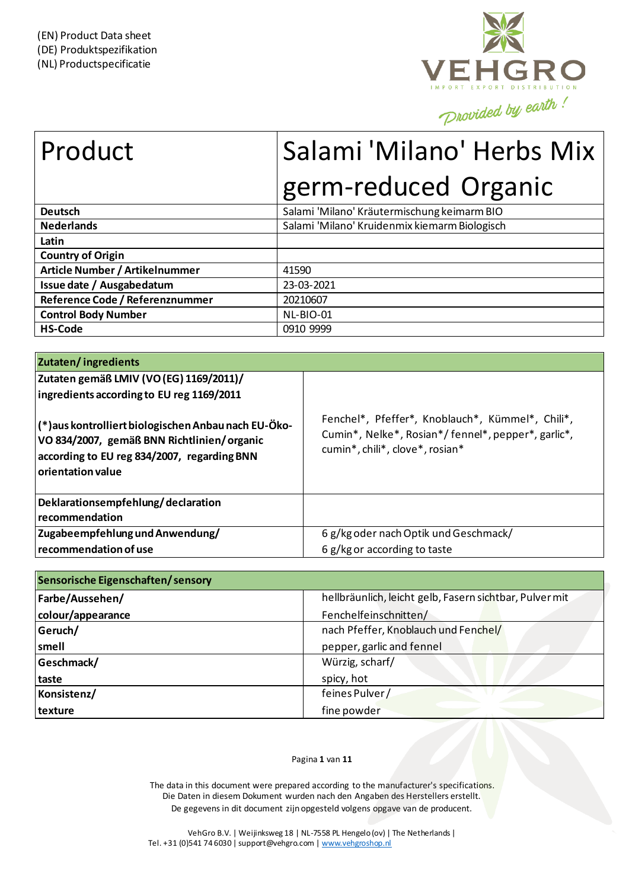

# Product Salami 'Milano' Herbs Mix germ-reduced Organic

| <b>Deutsch</b>                  | Salami 'Milano' Kräutermischung keimarm BIO   |
|---------------------------------|-----------------------------------------------|
| <b>Nederlands</b>               | Salami 'Milano' Kruidenmix kiemarm Biologisch |
| Latin                           |                                               |
| <b>Country of Origin</b>        |                                               |
| Article Number / Artikelnummer  | 41590                                         |
| Issue date / Ausgabedatum       | 23-03-2021                                    |
| Reference Code / Referenznummer | 20210607                                      |
| <b>Control Body Number</b>      | NL-BIO-01                                     |
| <b>HS-Code</b>                  | 0910 9999                                     |

| <b>Zutaten/ingredients</b>                                                                                                                                             |                                                                                                                                           |
|------------------------------------------------------------------------------------------------------------------------------------------------------------------------|-------------------------------------------------------------------------------------------------------------------------------------------|
| Zutaten gemäß LMIV (VO (EG) 1169/2011)/<br>ingredients according to EU reg 1169/2011                                                                                   |                                                                                                                                           |
| (*) aus kontrolliert biologischen Anbau nach EU-Öko-<br>VO 834/2007, gemäß BNN Richtlinien/organic<br>according to EU reg 834/2007, regarding BNN<br>orientation value | Fenchel*, Pfeffer*, Knoblauch*, Kümmel*, Chili*,<br>Cumin*, Nelke*, Rosian*/fennel*, pepper*, garlic*,<br>cumin*, chili*, clove*, rosian* |
| Deklarationsempfehlung/declaration<br>recommendation                                                                                                                   |                                                                                                                                           |
| Zugabeempfehlung und Anwendung/                                                                                                                                        | 6 g/kg oder nach Optik und Geschmack/                                                                                                     |
| l recommendation of use                                                                                                                                                | 6 g/kg or according to taste                                                                                                              |

| Sensorische Eigenschaften/sensory                                          |                                      |  |  |  |  |
|----------------------------------------------------------------------------|--------------------------------------|--|--|--|--|
| hellbräunlich, leicht gelb, Fasern sichtbar, Pulver mit<br>Farbe/Aussehen/ |                                      |  |  |  |  |
| colour/appearance                                                          | Fenchelfeinschnitten/                |  |  |  |  |
| Geruch/                                                                    | nach Pfeffer, Knoblauch und Fenchel/ |  |  |  |  |
| smell                                                                      | pepper, garlic and fennel            |  |  |  |  |
| Geschmack/                                                                 | Würzig, scharf/                      |  |  |  |  |
| taste                                                                      | spicy, hot                           |  |  |  |  |
| Konsistenz/                                                                | feines Pulver/                       |  |  |  |  |
| texture                                                                    | fine powder                          |  |  |  |  |

#### Pagina **1** van **11**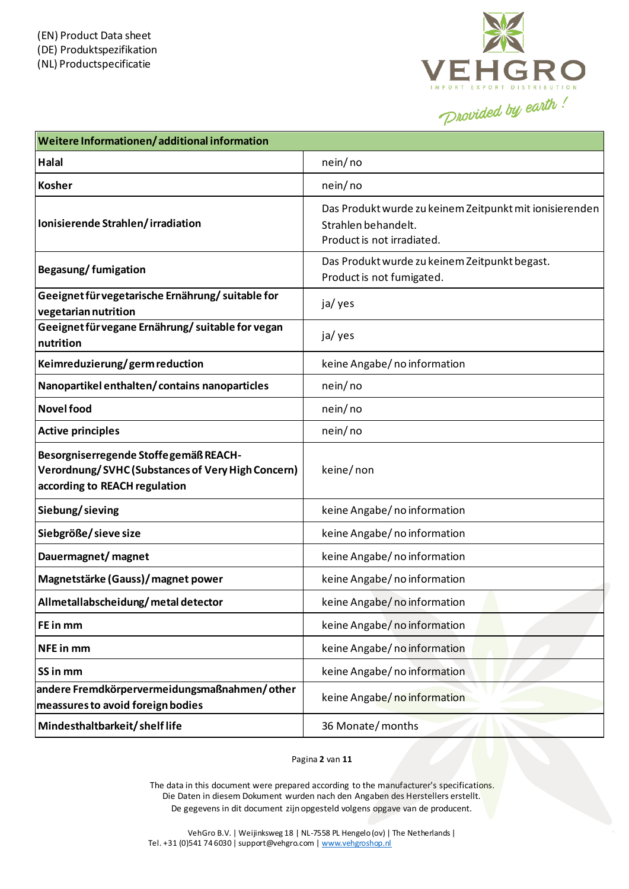

| Weitere Informationen/additional information                                                                                |                                                                                                              |
|-----------------------------------------------------------------------------------------------------------------------------|--------------------------------------------------------------------------------------------------------------|
| Halal                                                                                                                       | nein/no                                                                                                      |
| <b>Kosher</b>                                                                                                               | nein/no                                                                                                      |
| Ionisierende Strahlen/irradiation                                                                                           | Das Produkt wurde zu keinem Zeitpunkt mit ionisierenden<br>Strahlen behandelt.<br>Product is not irradiated. |
| Begasung/fumigation                                                                                                         | Das Produkt wurde zu keinem Zeitpunkt begast.<br>Product is not fumigated.                                   |
| Geeignet für vegetarische Ernährung/ suitable for<br>vegetarian nutrition                                                   | ja/ yes                                                                                                      |
| Geeignet für vegane Ernährung/ suitable for vegan<br>nutrition                                                              | ja/ yes                                                                                                      |
| Keimreduzierung/germ reduction                                                                                              | keine Angabe/no information                                                                                  |
| Nanopartikel enthalten/contains nanoparticles                                                                               | nein/no                                                                                                      |
| <b>Novel food</b>                                                                                                           | nein/no                                                                                                      |
| <b>Active principles</b>                                                                                                    | nein/no                                                                                                      |
| Besorgniserregende Stoffegemäß REACH-<br>Verordnung/SVHC (Substances of Very High Concern)<br>according to REACH regulation | keine/non                                                                                                    |
| Siebung/sieving                                                                                                             | keine Angabe/no information                                                                                  |
| Siebgröße/sieve size                                                                                                        | keine Angabe/no information                                                                                  |
| Dauermagnet/ magnet                                                                                                         | keine Angabe/no information                                                                                  |
| Magnetstärke (Gauss)/ magnet power                                                                                          | keine Angabe/no information                                                                                  |
| Allmetallabscheidung/metaldetector                                                                                          | keine Angabe/no information                                                                                  |
| FE in mm                                                                                                                    | keine Angabe/no information                                                                                  |
| NFE in mm                                                                                                                   | keine Angabe/no information                                                                                  |
| SS in mm                                                                                                                    | keine Angabe/no information                                                                                  |
| andere Fremdkörpervermeidungsmaßnahmen/other<br>meassures to avoid foreign bodies                                           | keine Angabe/no information                                                                                  |
| Mindesthaltbarkeit/shelflife                                                                                                | 36 Monate/months                                                                                             |

Pagina **2** van **11**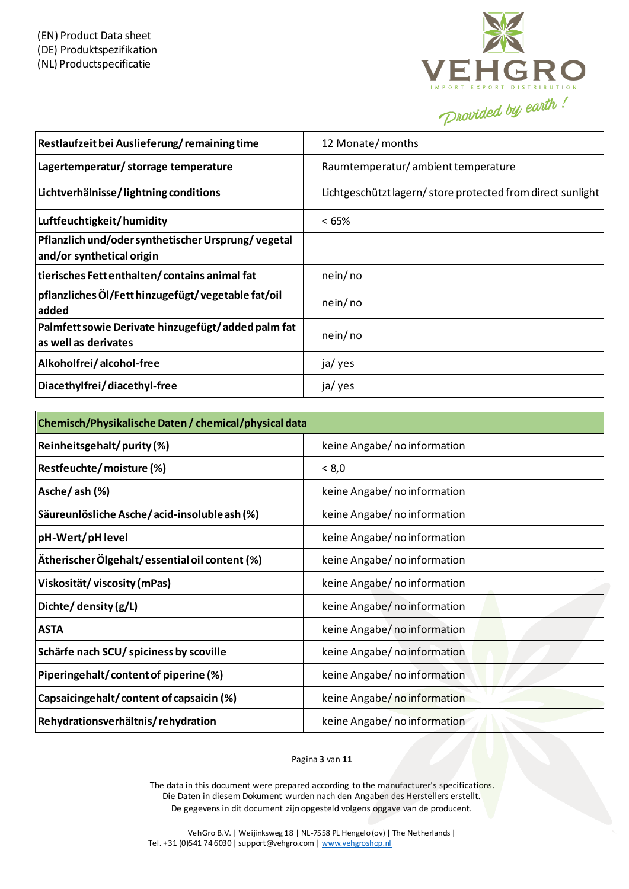

| Restlaufzeit bei Auslieferung/remaining time                                    | 12 Monate/months                                           |
|---------------------------------------------------------------------------------|------------------------------------------------------------|
| Lagertemperatur/ storrage temperature                                           | Raumtemperatur/ambient temperature                         |
| Lichtverhälnisse/lightning conditions                                           | Lichtgeschützt lagern/store protected from direct sunlight |
| Luftfeuchtigkeit/humidity                                                       | <65%                                                       |
| Pflanzlich und/oder synthetischer Ursprung/vegetal<br>and/or synthetical origin |                                                            |
| tierisches Fett enthalten/contains animal fat                                   | nein/no                                                    |
| pflanzliches Öl/Fett hinzugefügt/vegetable fat/oil<br>added                     | nein/no                                                    |
| Palmfett sowie Derivate hinzugefügt/added palm fat<br>as well as derivates      | nein/no                                                    |
| Alkoholfrei/alcohol-free                                                        | ja/ yes                                                    |
| Diacethylfrei/diacethyl-free                                                    | ja/ yes                                                    |

| Chemisch/Physikalische Daten / chemical/physical data |                              |  |  |  |  |
|-------------------------------------------------------|------------------------------|--|--|--|--|
| Reinheitsgehalt/purity(%)                             | keine Angabe/no information  |  |  |  |  |
| Restfeuchte/moisture(%)                               | < 8,0                        |  |  |  |  |
| Asche/ash (%)                                         | keine Angabe/no information  |  |  |  |  |
| Säureunlösliche Asche/acid-insolubleash(%)            | keine Angabe/ no information |  |  |  |  |
| pH-Wert/pH level                                      | keine Angabe/no information  |  |  |  |  |
| Ätherischer Ölgehalt/essential oil content (%)        | keine Angabe/ no information |  |  |  |  |
| Viskosität/viscosity(mPas)                            | keine Angabe/no information  |  |  |  |  |
| Dichte/ density (g/L)                                 | keine Angabe/no information  |  |  |  |  |
| <b>ASTA</b>                                           | keine Angabe/no information  |  |  |  |  |
| Schärfe nach SCU/ spiciness by scoville               | keine Angabe/ no information |  |  |  |  |
| Piperingehalt/content of piperine (%)                 | keine Angabe/no information  |  |  |  |  |
| Capsaicingehalt/content of capsaicin (%)              | keine Angabe/no information  |  |  |  |  |
| Rehydrationsverhältnis/rehydration                    | keine Angabe/ no information |  |  |  |  |

#### Pagina **3** van **11**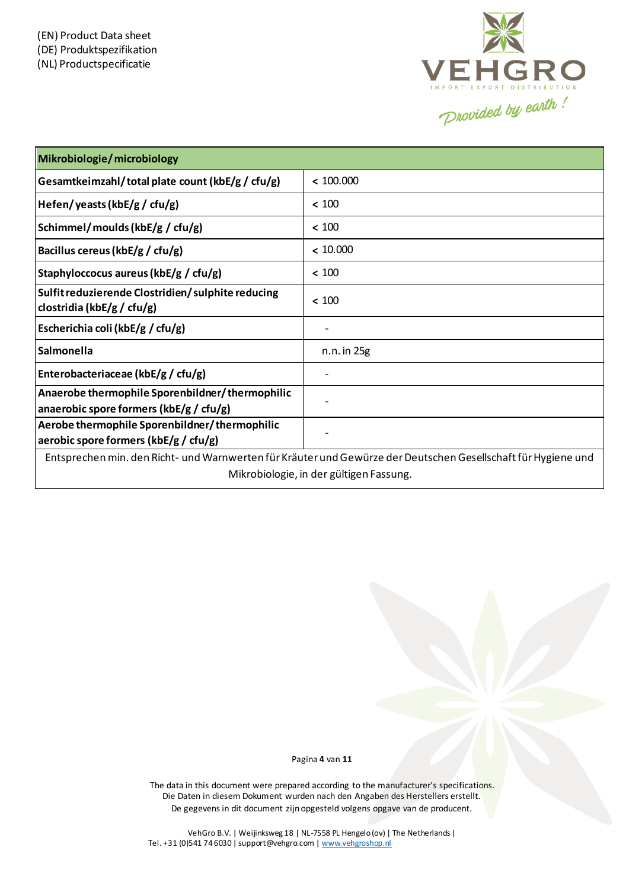

| Mikrobiologie/microbiology                                                                                    |                 |  |  |
|---------------------------------------------------------------------------------------------------------------|-----------------|--|--|
| Gesamtkeimzahl/total plate count (kbE/g / cfu/g)                                                              | < 100.000       |  |  |
| Hefen/yeasts (kbE/g / cfu/g)                                                                                  | < 100           |  |  |
| Schimmel/moulds (kbE/g / cfu/g)                                                                               | < 100           |  |  |
| Bacillus cereus (kbE/g / cfu/g)                                                                               | < 10.000        |  |  |
| Staphyloccocus aureus (kbE/g / cfu/g)                                                                         | < 100           |  |  |
| Sulfit reduzierende Clostridien/sulphite reducing<br>clostridia (kbE/g / cfu/g)                               | < 100           |  |  |
| Escherichia coli (kbE/g / cfu/g)                                                                              |                 |  |  |
| Salmonella                                                                                                    | $n.n.$ in $25g$ |  |  |
| Enterobacteriaceae (kbE/g / cfu/g)                                                                            |                 |  |  |
| Anaerobe thermophile Sporenbildner/thermophilic<br>anaerobic spore formers (kbE/g / cfu/g)                    |                 |  |  |
| Aerobe thermophile Sporenbildner/thermophilic<br>aerobic spore formers ( $k$ bE/g / cfu/g)                    |                 |  |  |
| Entsprechen min. den Richt- und Warnwerten für Kräuter und Gewürze der Deutschen Gesellschaft für Hygiene und |                 |  |  |

Mikrobiologie, in der gültigen Fassung.

Pagina **4** van **11**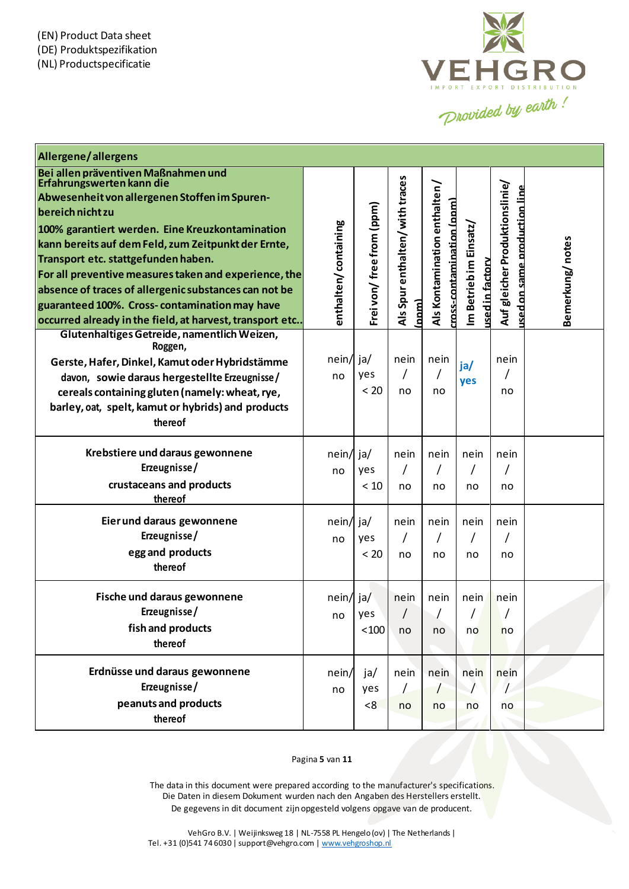

| Allergene/allergens                                                                                               |                      |                          |                                |                              |                        |                                                                       |                 |
|-------------------------------------------------------------------------------------------------------------------|----------------------|--------------------------|--------------------------------|------------------------------|------------------------|-----------------------------------------------------------------------|-----------------|
| Bei allen präventiven Maßnahmen und<br>Erfahrungswerten kann die<br>Abwesenheit von allergenen Stoffen im Spuren- |                      |                          | Als Spur enthalten/with traces |                              |                        |                                                                       |                 |
| bereich nicht zu                                                                                                  |                      |                          |                                | Als Kontamination enthalten/ |                        | Auf gleicher Produktionslinie/<br><u>ised on same production line</u> |                 |
| 100% garantiert werden. Eine Kreuzkontamination                                                                   |                      | Frei von/free from (ppm) |                                | cross-contamination (ppm)    |                        |                                                                       |                 |
| kann bereits auf dem Feld, zum Zeitpunkt der Ernte,                                                               | enthalten/containing |                          |                                |                              | Im Betrieb im Einsatz/ |                                                                       | Bemerkung/notes |
| Transport etc. stattgefunden haben.                                                                               |                      |                          |                                |                              |                        |                                                                       |                 |
| For all preventive measures taken and experience, the                                                             |                      |                          |                                |                              |                        |                                                                       |                 |
| absence of traces of allergenic substances can not be                                                             |                      |                          |                                |                              |                        |                                                                       |                 |
| guaranteed 100%. Cross-contamination may have                                                                     |                      |                          | [num]                          |                              | <b>Ised in factory</b> |                                                                       |                 |
| occurred already in the field, at harvest, transport etc<br>Glutenhaltiges Getreide, namentlich Weizen,           |                      |                          |                                |                              |                        |                                                                       |                 |
| Roggen,                                                                                                           |                      |                          |                                |                              |                        |                                                                       |                 |
| Gerste, Hafer, Dinkel, Kamut oder Hybridstämme                                                                    | nein/ ja/            |                          | nein                           | nein                         | ja/                    | nein                                                                  |                 |
| davon, sowie daraus hergestellte Erzeugnisse/                                                                     | no                   | yes                      | T                              |                              | yes                    |                                                                       |                 |
| cereals containing gluten (namely: wheat, rye,                                                                    |                      | < 20                     | no                             | no                           |                        | no                                                                    |                 |
| barley, oat, spelt, kamut or hybrids) and products                                                                |                      |                          |                                |                              |                        |                                                                       |                 |
| thereof                                                                                                           |                      |                          |                                |                              |                        |                                                                       |                 |
| Krebstiere und daraus gewonnene                                                                                   | $nein/$ ja/          |                          | nein                           | nein                         | nein                   | nein                                                                  |                 |
| Erzeugnisse/                                                                                                      | no                   | yes                      |                                |                              |                        |                                                                       |                 |
| crustaceans and products                                                                                          |                      | $<10$                    | no                             | no                           | no                     | no                                                                    |                 |
| thereof                                                                                                           |                      |                          |                                |                              |                        |                                                                       |                 |
| Eier und daraus gewonnene                                                                                         | $nein/$ ja/          |                          | nein                           | nein                         | nein                   | nein                                                                  |                 |
| Erzeugnisse/                                                                                                      | no                   | yes                      |                                |                              |                        |                                                                       |                 |
| egg and products                                                                                                  |                      | < 20                     | no                             | no                           | no                     | no                                                                    |                 |
| thereof                                                                                                           |                      |                          |                                |                              |                        |                                                                       |                 |
| Fische und daraus gewonnene                                                                                       | $nein/$ ja/          |                          | nein                           | nein                         | nein                   | nein                                                                  |                 |
| Erzeugnisse/                                                                                                      | no                   | yes                      |                                |                              |                        |                                                                       |                 |
| fish and products                                                                                                 |                      | $<$ 100                  | no                             | no                           | no                     | no                                                                    |                 |
| thereof                                                                                                           |                      |                          |                                |                              |                        |                                                                       |                 |
|                                                                                                                   |                      |                          |                                |                              |                        |                                                                       |                 |
| Erdnüsse und daraus gewonnene                                                                                     | nein/                | ja/                      | nein                           | nein                         | nein                   | nein                                                                  |                 |
| Erzeugnisse/                                                                                                      | no                   | yes                      | L                              | $\prime$                     |                        |                                                                       |                 |
| peanuts and products                                                                                              |                      | < 8                      | no                             | no                           | no                     | no                                                                    |                 |
| thereof                                                                                                           |                      |                          |                                |                              |                        |                                                                       |                 |

#### Pagina **5** van **11**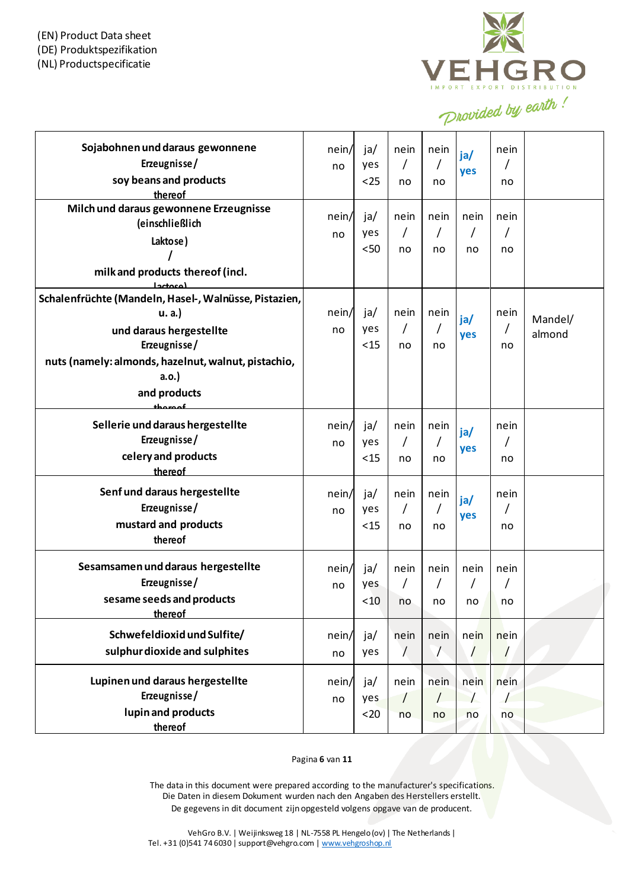

| Sojabohnen und daraus gewonnene<br>Erzeugnisse/<br>soy beans and products<br>thereof                                                                                                                 | nein/<br>no | ja/<br>yes<br>$25$ | nein<br>7<br>no          | nein<br>no             | ja/<br>yes       | nein<br>no |                   |
|------------------------------------------------------------------------------------------------------------------------------------------------------------------------------------------------------|-------------|--------------------|--------------------------|------------------------|------------------|------------|-------------------|
| Milch und daraus gewonnene Erzeugnisse<br>(einschließlich<br>Laktose)<br>milk and products thereof (incl.                                                                                            | nein/<br>no | ja/<br>yes<br>$50$ | nein<br>$\prime$<br>no   | nein<br>$\prime$<br>no | nein<br>Τ<br>no  | nein<br>no |                   |
| لمعمدودا<br>Schalenfrüchte (Mandeln, Hasel-, Walnüsse, Pistazien,<br>u. a.<br>und daraus hergestellte<br>Erzeugnisse/<br>nuts (namely: almonds, hazelnut, walnut, pistachio,<br>a.o.<br>and products | nein/<br>no | ja/<br>yes<br>< 15 | nein<br>7<br>no          | nein<br>no             | ja/<br>yes       | nein<br>no | Mandel/<br>almond |
| Sellerie und daraus hergestellte<br>Erzeugnisse/<br>celery and products<br>thereof                                                                                                                   | nein/<br>no | ja/<br>yes<br>< 15 | nein<br>Τ<br>no          | nein<br>no             | ja/<br>yes       | nein<br>no |                   |
| Senf und daraus hergestellte<br>Erzeugnisse/<br>mustard and products<br>thereof                                                                                                                      | nein/<br>no | ja/<br>yes<br>< 15 | nein<br>$\sqrt{ }$<br>no | nein<br>no             | ja/<br>yes       | nein<br>no |                   |
| Sesamsamen und daraus hergestellte<br>Erzeugnisse/<br>sesame seeds and products<br>thereof                                                                                                           | nein/<br>no | ja/<br>yes<br>< 10 | nein<br>no               | nein<br>no             | nein<br>T<br>no  | nein<br>no |                   |
| Schwefeldioxid und Sulfite/<br>sulphur dioxide and sulphites                                                                                                                                         | nein/<br>no | ja/<br>yes         | nein<br>$\prime$         | nein<br>$\sqrt{ }$     | nein<br>$\prime$ | nein       |                   |
| Lupinen und daraus hergestellte<br>Erzeugnisse/<br>lupin and products<br>thereof                                                                                                                     | nein/<br>no | ja/<br>yes<br>$20$ | nein<br>$\prime$<br>no   | nein<br>$\prime$<br>no | nein<br>no       | nein<br>no |                   |

#### Pagina **6** van **11**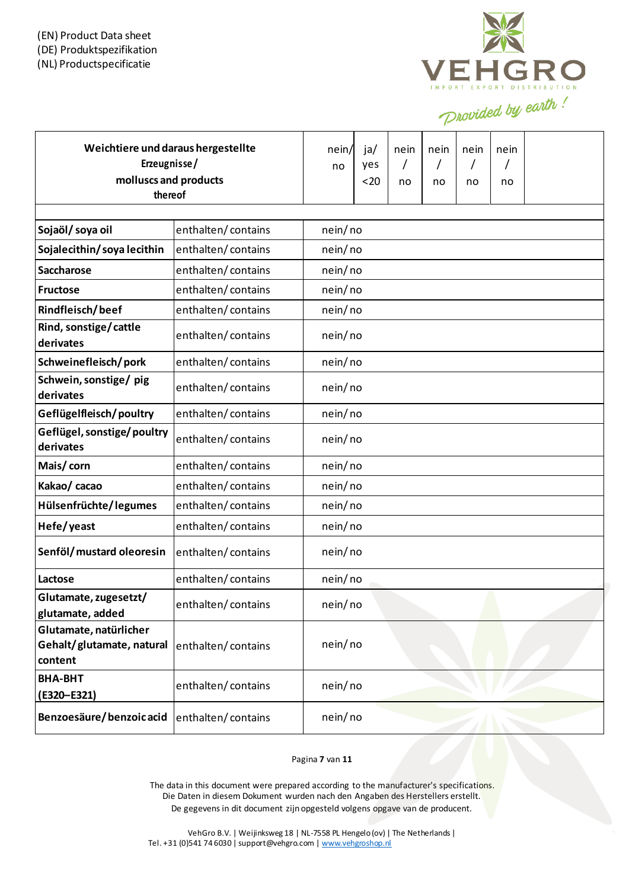

| Weichtiere und daraus hergestellte<br>Erzeugnisse/<br>molluscs and products<br>thereof |                    | nein/<br>no | ja/<br>yes<br>$20$ | nein<br>no | nein<br>$\prime$<br>no | nein<br>no | nein<br>no |  |
|----------------------------------------------------------------------------------------|--------------------|-------------|--------------------|------------|------------------------|------------|------------|--|
|                                                                                        |                    |             |                    |            |                        |            |            |  |
| Sojaöl/soya oil                                                                        | enthalten/contains | nein/no     |                    |            |                        |            |            |  |
| Sojalecithin/soyalecithin                                                              | enthalten/contains | nein/no     |                    |            |                        |            |            |  |
| <b>Saccharose</b>                                                                      | enthalten/contains | nein/no     |                    |            |                        |            |            |  |
| <b>Fructose</b>                                                                        | enthalten/contains | nein/no     |                    |            |                        |            |            |  |
| Rindfleisch/beef                                                                       | enthalten/contains | nein/no     |                    |            |                        |            |            |  |
| Rind, sonstige/cattle<br>derivates                                                     | enthalten/contains | nein/no     |                    |            |                        |            |            |  |
| Schweinefleisch/pork                                                                   | enthalten/contains | nein/no     |                    |            |                        |            |            |  |
| Schwein, sonstige/ pig<br>derivates                                                    | enthalten/contains | nein/no     |                    |            |                        |            |            |  |
| Geflügelfleisch/poultry                                                                | enthalten/contains | nein/no     |                    |            |                        |            |            |  |
| Geflügel, sonstige/poultry<br>derivates                                                | enthalten/contains | nein/no     |                    |            |                        |            |            |  |
| Mais/corn                                                                              | enthalten/contains | nein/no     |                    |            |                        |            |            |  |
| Kakao/ cacao                                                                           | enthalten/contains | nein/no     |                    |            |                        |            |            |  |
| Hülsenfrüchte/legumes                                                                  | enthalten/contains | nein/no     |                    |            |                        |            |            |  |
| Hefe/yeast                                                                             | enthalten/contains | nein/no     |                    |            |                        |            |            |  |
| Senföl/mustard oleoresin                                                               | enthalten/contains | nein/no     |                    |            |                        |            |            |  |
| Lactose                                                                                | enthalten/contains | nein/no     |                    |            |                        |            |            |  |
| Glutamate, zugesetzt/<br>glutamate, added                                              | enthalten/contains | nein/no     |                    |            |                        |            |            |  |
| Glutamate, natürlicher<br>Gehalt/glutamate, natural<br>content                         | enthalten/contains | nein/no     |                    |            |                        |            |            |  |
| <b>BHA-BHT</b><br>(E320-E321)                                                          | enthalten/contains | nein/no     |                    |            |                        |            |            |  |
| Benzoesäure/benzoicacid                                                                | enthalten/contains | nein/no     |                    |            |                        |            |            |  |

Pagina **7** van **11**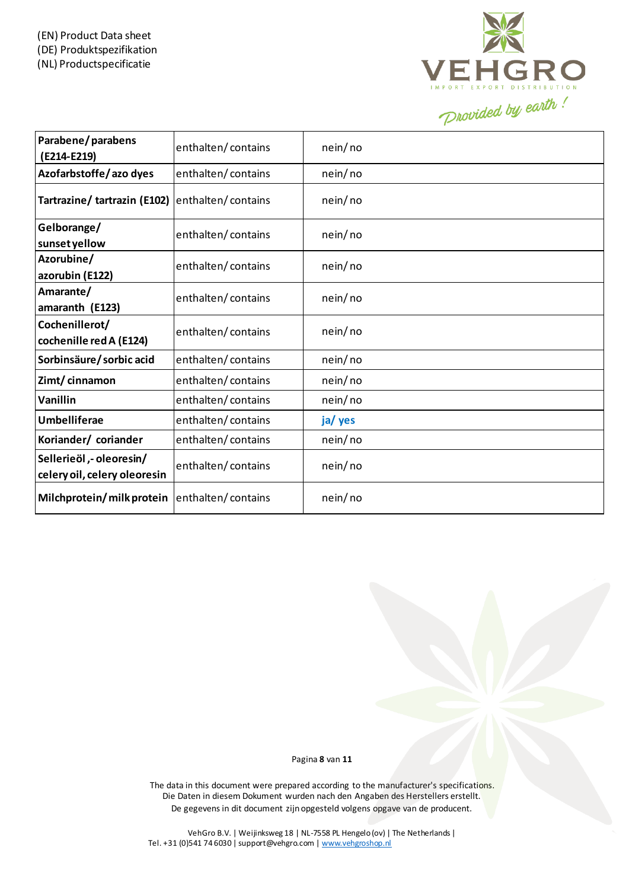

| Parabene/parabens<br>(E214-E219)                         | enthalten/contains | nein/no |
|----------------------------------------------------------|--------------------|---------|
| Azofarbstoffe/azo dyes                                   | enthalten/contains | nein/no |
| Tartrazine/tartrazin (E102)                              | enthalten/contains | nein/no |
| Gelborange/<br>sunset yellow                             | enthalten/contains | nein/no |
| Azorubine/<br>azorubin (E122)                            | enthalten/contains | nein/no |
| Amarante/<br>amaranth (E123)                             | enthalten/contains | nein/no |
| Cochenillerot/<br>cochenille red A (E124)                | enthalten/contains | nein/no |
| Sorbinsäure/sorbic acid                                  | enthalten/contains | nein/no |
| Zimt/cinnamon                                            | enthalten/contains | nein/no |
| Vanillin                                                 | enthalten/contains | nein/no |
| <b>Umbelliferae</b>                                      | enthalten/contains | ja/ yes |
| Koriander/ coriander                                     | enthalten/contains | nein/no |
| Sellerieöl, - oleoresin/<br>celery oil, celery oleoresin | enthalten/contains | nein/no |
| Milchprotein/milk protein                                | enthalten/contains | nein/no |

Pagina **8** van **11**

The data in this document were prepared according to the manufacturer's specifications. Die Daten in diesem Dokument wurden nach den Angaben des Herstellers erstellt. De gegevens in dit document zijn opgesteld volgens opgave van de producent.

VehGro B.V. | Weijinksweg 18 | NL-7558 PL Hengelo (ov) | The Netherlands | Tel. +31 (0)541 74 6030 | support@vehgro.com [| www.vehgroshop.nl](http://www.vehgroshop.nl/)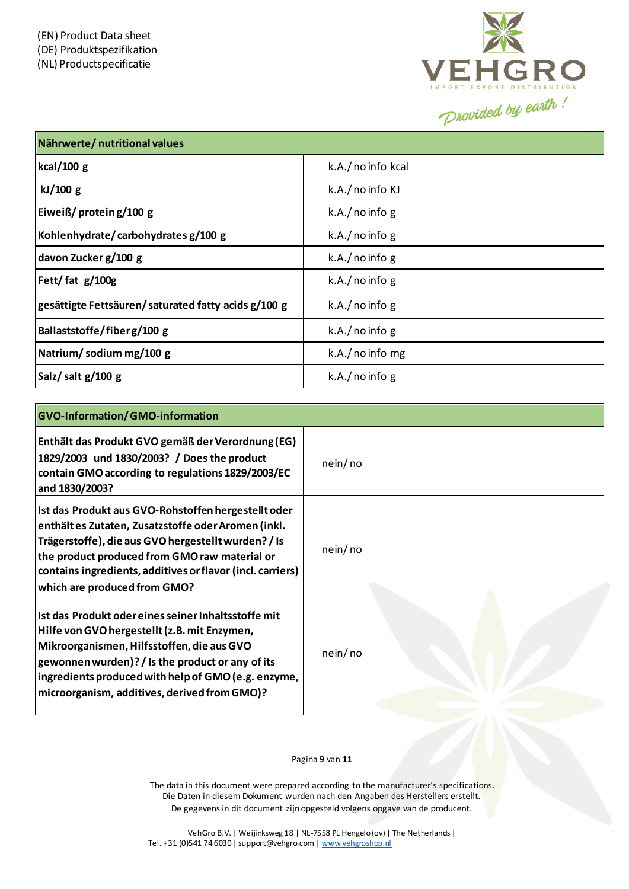

| Nährwerte/ nutritional values                       |                    |
|-----------------------------------------------------|--------------------|
| kcal/100 $g$                                        | k.A./ no info kcal |
| kJ/100 g                                            | k.A./ no info KJ   |
| Eiweiß/ protein g/100 g                             | k.A./noinfog       |
| Kohlenhydrate/carbohydrates g/100 g                 | $k.A./$ no info g  |
| davon Zucker g/100 g                                | $k.A./$ no info g  |
| Fett/fat g/100g                                     | $k.A./$ no info g  |
| gesättigte Fettsäuren/saturated fatty acids g/100 g | $k.A./$ no info g  |
| Ballaststoffe/fiberg/100 g                          | $k.A./$ no info g  |
| Natrium/sodium mg/100 g                             | $k.A./$ no info mg |
| Salz/salt g/100 g                                   | $k.A./$ no info g  |

| <b>GVO-Information/GMO-information</b>                                                                                                                                                                                                                                                                          |         |
|-----------------------------------------------------------------------------------------------------------------------------------------------------------------------------------------------------------------------------------------------------------------------------------------------------------------|---------|
| Enthält das Produkt GVO gemäß der Verordnung (EG)<br>1829/2003 und 1830/2003? / Does the product<br>contain GMO according to regulations 1829/2003/EC<br>and 1830/2003?                                                                                                                                         | nein/no |
| Ist das Produkt aus GVO-Rohstoffen hergestellt oder<br>enthältes Zutaten, Zusatzstoffe oder Aromen (inkl.<br>Trägerstoffe), die aus GVO hergestellt wurden? / Is<br>the product produced from GMO raw material or<br>contains ingredients, additives or flavor (incl. carriers)<br>which are produced from GMO? | nein/no |
| Ist das Produkt oder eines seiner Inhaltsstoffe mit<br>Hilfe von GVO hergestellt (z.B. mit Enzymen,<br>Mikroorganismen, Hilfsstoffen, die aus GVO<br>gewonnen wurden)? / Is the product or any of its<br>ingredients produced with help of GMO (e.g. enzyme,<br>microorganism, additives, derived from GMO)?    | nein/no |

#### Pagina **9** van **11**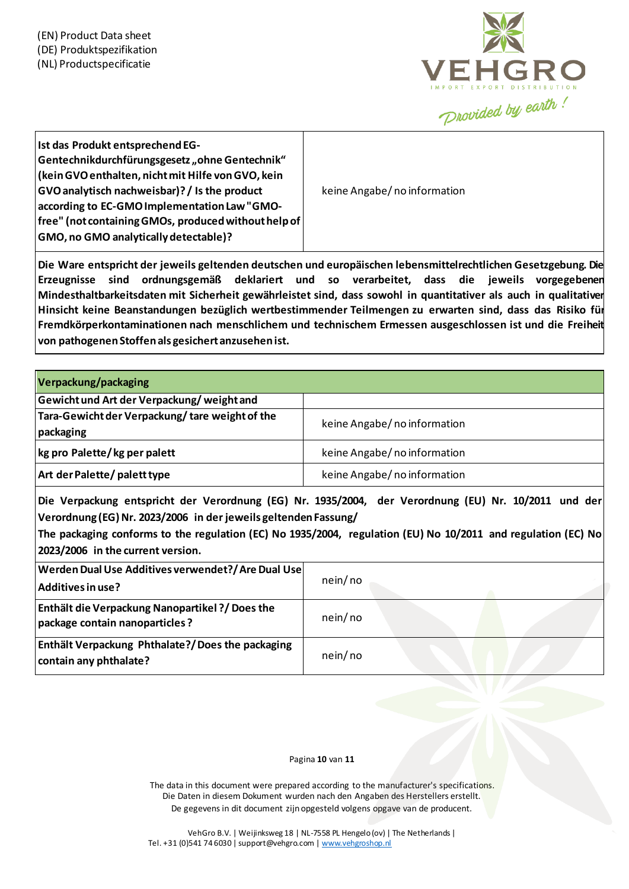

| Ist das Produkt entsprechend EG-<br>Gentechnikdurchfürungsgesetz "ohne Gentechnik"<br>(kein GVO enthalten, nicht mit Hilfe von GVO, kein<br>GVO analytisch nachweisbar)? / Is the product<br>according to EC-GMO Implementation Law "GMO-<br>$ $ free" (not containing GMOs, produced without help of $ $<br><b>GMO, no GMO analytically detectable)?</b> | keine Angabe/no information |
|-----------------------------------------------------------------------------------------------------------------------------------------------------------------------------------------------------------------------------------------------------------------------------------------------------------------------------------------------------------|-----------------------------|
|-----------------------------------------------------------------------------------------------------------------------------------------------------------------------------------------------------------------------------------------------------------------------------------------------------------------------------------------------------------|-----------------------------|

**Die Ware entspricht der jeweils geltenden deutschen und europäischen lebensmittelrechtlichen Gesetzgebung. Die Erzeugnisse sind ordnungsgemäß deklariert und so verarbeitet, dass die jeweils vorgegebenen Mindesthaltbarkeitsdaten mit Sicherheit gewährleistet sind, dass sowohl in quantitativer als auch in qualitativer Hinsicht keine Beanstandungen bezüglich wertbestimmender Teilmengen zu erwarten sind, dass das Risiko für Fremdkörperkontaminationen nach menschlichem und technischem Ermessen ausgeschlossen ist und die Freiheit von pathogenenStoffenals gesichertanzusehenist.**

| Verpackung/packaging                                        |                             |
|-------------------------------------------------------------|-----------------------------|
| Gewicht und Art der Verpackung/weight and                   |                             |
| Tara-Gewicht der Verpackung/tare weight of the<br>packaging | keine Angabe/no information |
| kg pro Palette/kg per palett                                | keine Angabe/no information |
| Art der Palette/ palett type                                | keine Angabe/no information |

**Die Verpackung entspricht der Verordnung (EG) Nr. 1935/2004, der Verordnung (EU) Nr. 10/2011 und der Verordnung (EG)Nr. 2023/2006 in der jeweils geltendenFassung/**

The packaging conforms to the regulation (EC) No 1935/2004, regulation (EU) No 10/2011 and regulation (EC) No **2023/2006 in the current version.**

| Werden Dual Use Additives verwendet?/ Are Dual Use<br>  Additives in use?                | nein/no |
|------------------------------------------------------------------------------------------|---------|
| <b>Enthält die Verpackung Nanopartikel ?/ Does the</b><br>package contain nanoparticles? | nein/no |
| <b>Enthält Verpackung Phthalate?/Does the packaging</b><br>contain any phthalate?        | nein/no |

### Pagina **10** van **11**